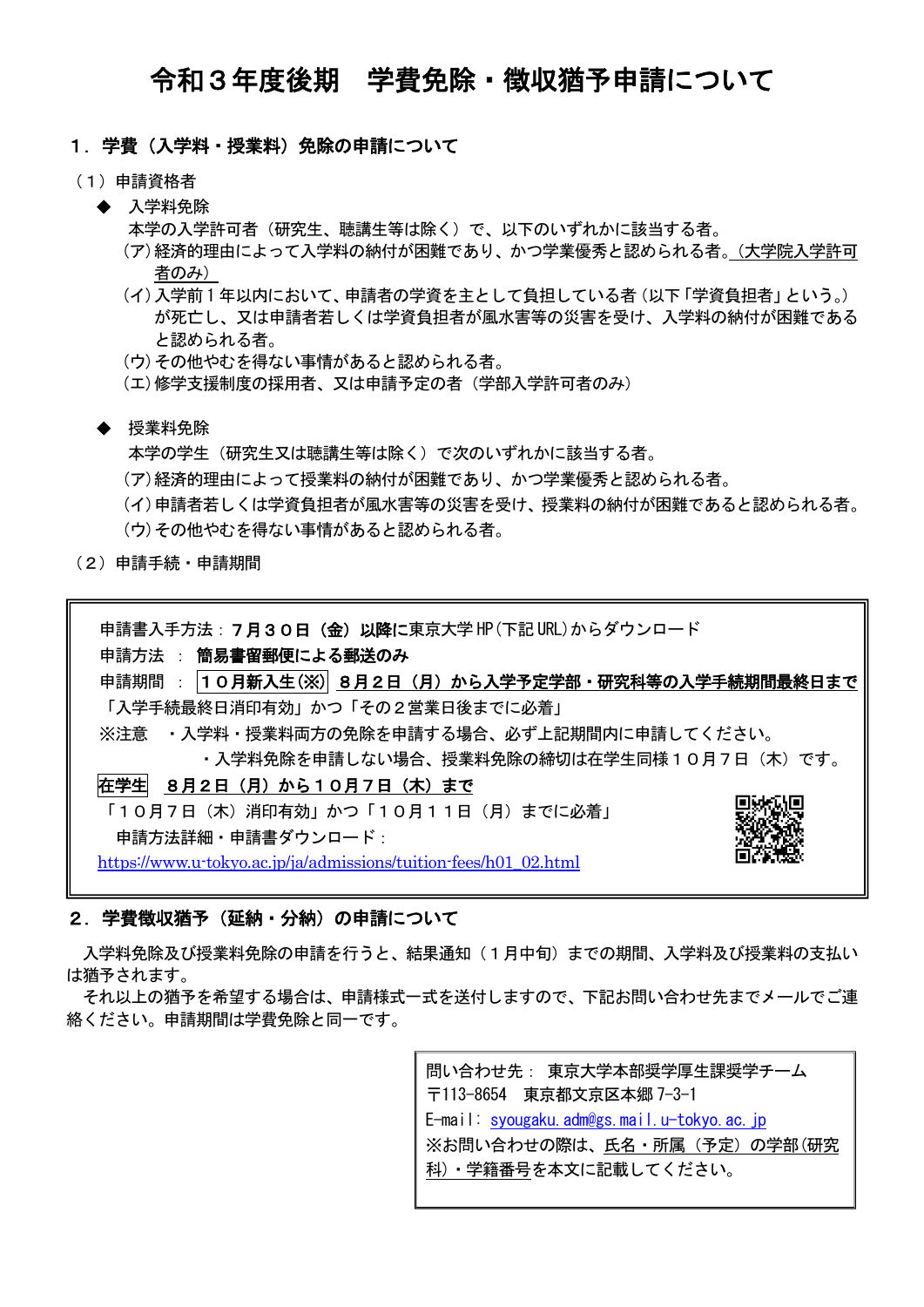# 令和3年度後期 学費免除・徴収猶予申請について

# 1.学費(入学料・授業料)免除の申請について

- (1)申請資格者
	- ◆ 入学料免除

本学の入学許可者(研究生、聴講生等は除く)で、以下のいずれかに該当する者。

- (ア)経済的理由によって入学料の納付が困難であり、かつ学業優秀と認められる者。(大学院入学許可 者のみ)
- (イ)入学前 1 年以内において、申請者の学資を主として負担している者(以下「学資負担者」という。) が死亡し、又は申請者若しくは学資負担者が風水害等の災害を受け、入学料の納付が困難である と認められる者。
- (ウ)その他やむを得ない事情があると認められる者。
- (エ)修学支援制度の採用者、又は申請予定の者(学部入学許可者のみ)
- ◆ 授業料免除
	- 本学の学生(研究生又は聴講生等は除く)で次のいずれかに該当する者。
	- (ア)経済的理由によって授業料の納付が困難であり、かつ学業優秀と認められる者。
	- (イ)申請者若しくは学資負担者が風水害等の災害を受け、授業料の納付が困難であると認められる者。
	- (ウ)その他やむを得ない事情があると認められる者。
- (2)申請手続・申請期間

| 申請書入手方法: 7月30日(金)以降に東京大学 HP (下記 URL) からダウンロード                    |  |
|------------------------------------------------------------------|--|
| 申請方法 : 簡易書留郵便による郵送のみ                                             |  |
| 申請期間 : 10月新入生(※) 8月2日 (月) から入学予定学部・研究科等の入学手続期間最終日まで              |  |
| 「入学手続最終日消印有効」かつ「その2営業日後までに必着」                                    |  |
| ※注意 ・入学料・授業料両方の免除を申請する場合、必ず上記期間内に申請してください。                       |  |
| ・入学料免除を申請しない場合、授業料免除の締切は在学生同様10月7日(木)です。                         |  |
| 在学生   <u>8月2日(月)から10月7日(木)まで</u>                                 |  |
| 「10月7日 (木) 消印有効」かつ「10月11日 (月) までに必着」                             |  |
| 申請方法詳細・申請書ダウンロード:                                                |  |
| https://www.u-tokyo.ac.jp/ja/admissions/tuition-fees/h01_02.html |  |
|                                                                  |  |

# 2. 学費徴収猶予(延納・分納)の申請について

入学料免除及び授業料免除の申請を行うと、結果通知(1月中旬)までの期間、入学料及び授業料の支払い は猶予されます。

それ以上の猶予を希望する場合は、申請様式一式を送付しますので、下記お問い合わせ先までメールでご連 絡ください。申請期間は学費免除と同一です。

> 問い合わせ先: 東京大学本部奨学厚生課奨学チーム 〒113-8654 東京都文京区本郷 7-3-1 E-mail: syougaku.adm@gs.mail.u-tokyo.ac.jp ※お問い合わせの際は、氏名・所属(予定)の学部(研究 科)・学籍番号を本文に記載してください。